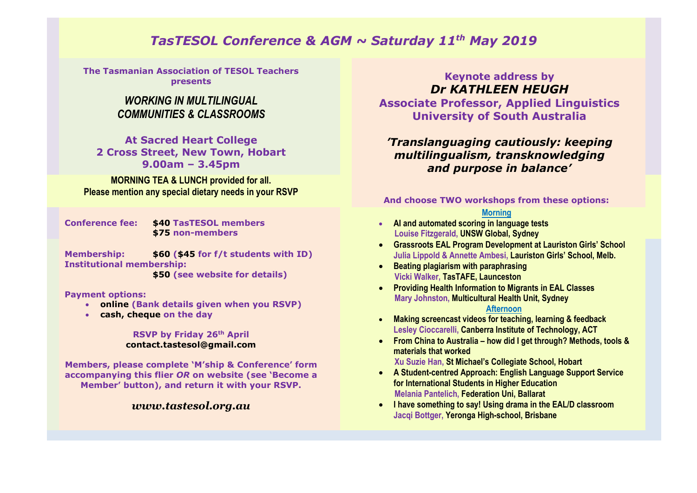# *TasTESOL Conference & AGM ~ Saturday 11th May 2019*

**The Tasmanian Association of TESOL Teachers presents**

## *WORKING IN MULTILINGUAL COMMUNITIES & CLASSROOMS*

**At Sacred Heart College 2 Cross Street, New Town, Hobart 9.00am – 3.45pm**

**MORNING TEA & LUNCH provided for all. Please mention any special dietary needs in your RSVP**

**Conference fee: \$40 TasTESOL members \$75 non-members**

**Membership: \$60 (\$45 for f/t students with ID) Institutional membership: \$50 (see website for details)**

**Payment options:**

- **online (Bank details given when you RSVP)**
- **cash, cheque on the day**

#### **RSVP by Friday 26th April contact.tastesol@gmail.com**

**Members, please complete 'M'ship & Conference' form accompanying this flier** *OR* **on website (see 'Become a Member' button), and return it with your RSVP.**

### *www.tastesol.org.au*

### **Keynote address by** *Dr KATHLEEN HEUGH*

**Associate Professor, Applied Linguistics University of South Australia**

## *'Translanguaging cautiously: keeping multilingualism, transknowledging and purpose in balance'*

#### **And choose TWO workshops from these options:**

### **Morning**

- **AI and automated scoring in language tests Louise Fitzgerald, UNSW Global, Sydney**
- **Grassroots EAL Program Development at Lauriston Girls' School Julia Lippold & Annette Ambesi, Lauriston Girls' School, Melb.**
- **Beating plagiarism with paraphrasing Vicki Walker, TasTAFE, Launceston**
- **Providing Health Information to Migrants in EAL Classes Mary Johnston, Multicultural Health Unit, Sydney**

#### **Afternoon**

- **Making screencast videos for teaching, learning & feedback Lesley Cioccarelli, Canberra Institute of Technology, ACT**
- **From China to Australia – how did I get through? Methods, tools & materials that worked**

 **Xu Suzie Han, St Michael's Collegiate School, Hobart**

- **A Student-centred Approach: English Language Support Service for International Students in Higher Education Melania Pantelich, Federation Uni, Ballarat**
- **I have something to say! Using drama in the EAL/D classroom Jacqi Bottger, Yeronga High-school, Brisbane**